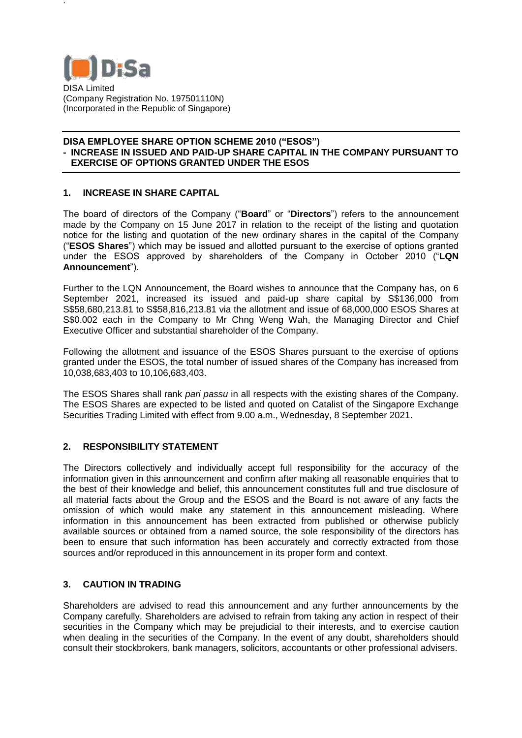

`

### **DISA EMPLOYEE SHARE OPTION SCHEME 2010 ("ESOS") - INCREASE IN ISSUED AND PAID-UP SHARE CAPITAL IN THE COMPANY PURSUANT TO EXERCISE OF OPTIONS GRANTED UNDER THE ESOS**

# **1. INCREASE IN SHARE CAPITAL**

The board of directors of the Company ("**Board**" or "**Directors**") refers to the announcement made by the Company on 15 June 2017 in relation to the receipt of the listing and quotation notice for the listing and quotation of the new ordinary shares in the capital of the Company ("**ESOS Shares**") which may be issued and allotted pursuant to the exercise of options granted under the ESOS approved by shareholders of the Company in October 2010 ("**LQN Announcement**").

Further to the LQN Announcement, the Board wishes to announce that the Company has, on 6 September 2021, increased its issued and paid-up share capital by S\$136,000 from S\$58,680,213.81 to S\$58,816,213.81 via the allotment and issue of 68,000,000 ESOS Shares at S\$0.002 each in the Company to Mr Chng Weng Wah, the Managing Director and Chief Executive Officer and substantial shareholder of the Company.

Following the allotment and issuance of the ESOS Shares pursuant to the exercise of options granted under the ESOS, the total number of issued shares of the Company has increased from 10,038,683,403 to 10,106,683,403.

The ESOS Shares shall rank *pari passu* in all respects with the existing shares of the Company. The ESOS Shares are expected to be listed and quoted on Catalist of the Singapore Exchange Securities Trading Limited with effect from 9.00 a.m., Wednesday, 8 September 2021.

## **2. RESPONSIBILITY STATEMENT**

The Directors collectively and individually accept full responsibility for the accuracy of the information given in this announcement and confirm after making all reasonable enquiries that to the best of their knowledge and belief, this announcement constitutes full and true disclosure of all material facts about the Group and the ESOS and the Board is not aware of any facts the omission of which would make any statement in this announcement misleading. Where information in this announcement has been extracted from published or otherwise publicly available sources or obtained from a named source, the sole responsibility of the directors has been to ensure that such information has been accurately and correctly extracted from those sources and/or reproduced in this announcement in its proper form and context.

## **3. CAUTION IN TRADING**

Shareholders are advised to read this announcement and any further announcements by the Company carefully. Shareholders are advised to refrain from taking any action in respect of their securities in the Company which may be prejudicial to their interests, and to exercise caution when dealing in the securities of the Company. In the event of any doubt, shareholders should consult their stockbrokers, bank managers, solicitors, accountants or other professional advisers.